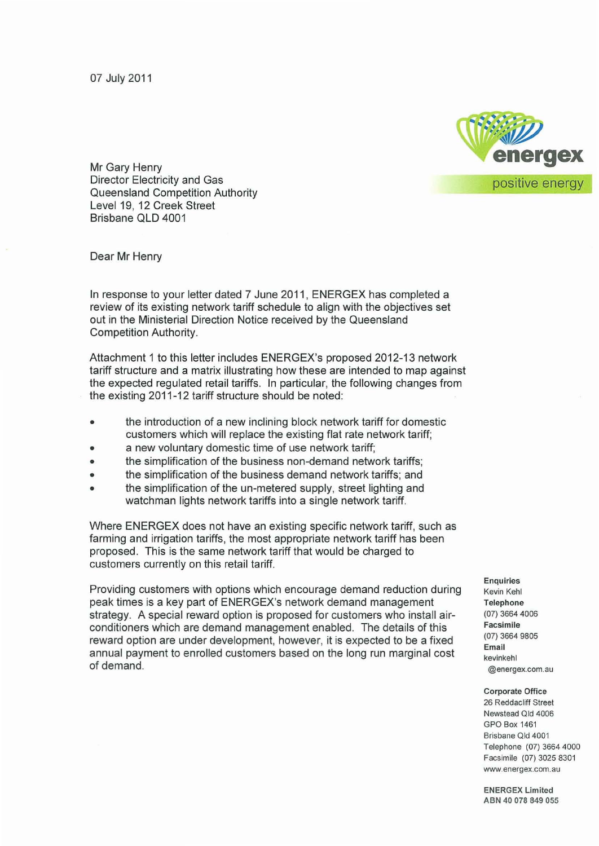07 July 2011



Mr Gary Henry Director Electricity and Gas Queensland Competition Authority Level 19, 12 Creek Street Brisbane QLD 4001

Dear Mr Henry

In response to your letter dated 7 June 2011 , ENERGEX has completed a review of its existing network tariff schedule to align with the objectives set out in the Ministerial Direction Notice received by the Queensland Competition Authority.

Attachment 1 to this letter includes ENERGEX's proposed 2012-13 network tariff structure and a matrix illustrating how these are intended to map against the expected regulated retail tariffs. In particular, the following changes from the existing 2011-12 tariff structure should be noted:

- the introduction of a new inclining block network tariff for domestic customers which will replace the existing flat rate network tariff;
- a new voluntary domestic time of use network tariff;
- the simplification of the business non-demand network tariffs;
- the simplification of the business demand network tariffs; and
- the simplification of the un-metered supply, street lighting and watchman lights network tariffs into a single network tariff.

Where ENERGEX does not have an existing specific network tariff, such as farming and irrigation tariffs, the most appropriate network tariff has been proposed. This is the same network tariff that would be charged to customers currently on this retail tariff.

Providing customers with options which encourage demand reduction during peak times is a key part of ENERGEX's network demand management strategy. A special reward option is proposed for customers who install airconditioners which are demand management enabled. The details of this reward option are under development, however, it is expected to be a fixed annual payment to enrolled customers based on the long run marginal cost of demand.

**Enquiries Kevin Kehl Telephone**  (07) 3664 4006 **Facsimile**  (07) 3664 9805 **Email kevinkehl @energex.com.au** 

**Corporate Office** 

26 Reddacliff Street **Newstead Qld 4006** GPO Box 1461 **Brisbane Qld 4001**  Telephone (07) 3664 4000 Facsimile (07) 3025 8301 **www.energex.com.au** 

**EN ERGEX Limited**  ABN 40 078 849 055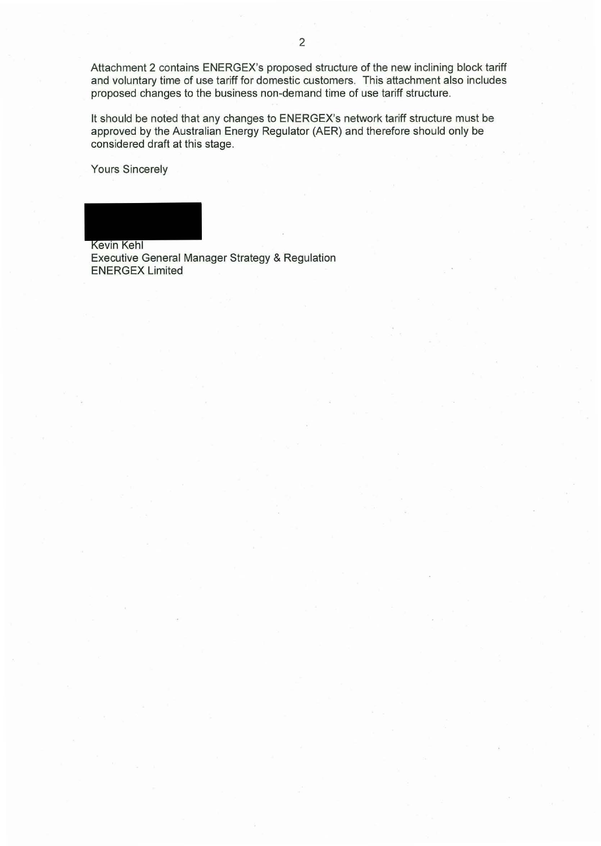Attachment 2 contains ENERGEX's proposed structure of the new inclining block tariff and voluntary time of use tariff for domestic customers. This attachment also includes proposed changes to the business non-demand time of use tariff structure.

It should be noted that any changes to ENERGEX's network tariff structure must be approved by the Australian Energy Regulator (AER) and therefore should only be considered draft at this stage.

Yours Sincerely

Kevin Kehl Executive General Manager Strategy & Regulation ENERGEX Limited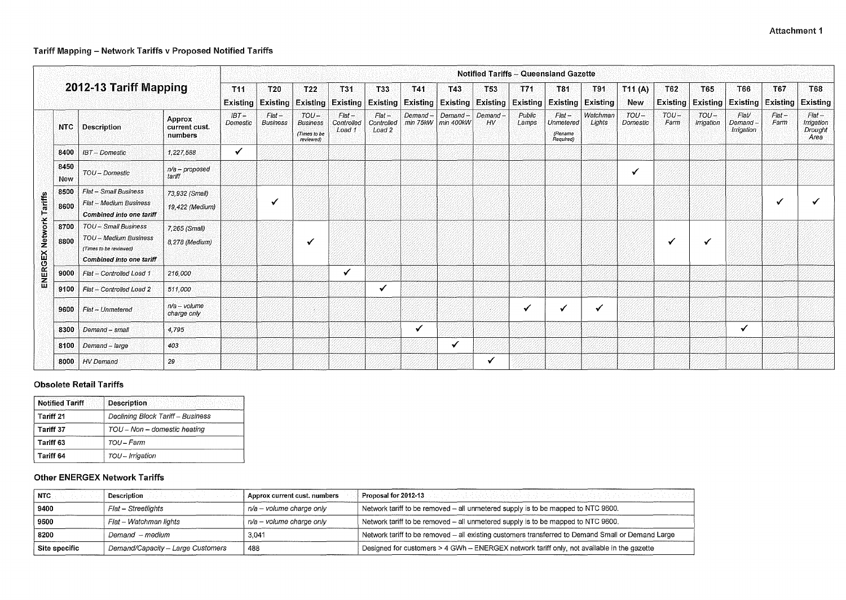### Attachment 1



# Tariff Mapping - Network Tariffs v Proposed Notified Tariffs

| 2012-13 Tariff Mapping                  |                                                                                                                 |                                           | <b>Notified Tariffs - Queensland Gazette</b> |                             |                                                         |                                  |                                             |                     |                             |                                                                              |                 |                                                      |                           |                      |                        |                      |                                 |                        |                                           |
|-----------------------------------------|-----------------------------------------------------------------------------------------------------------------|-------------------------------------------|----------------------------------------------|-----------------------------|---------------------------------------------------------|----------------------------------|---------------------------------------------|---------------------|-----------------------------|------------------------------------------------------------------------------|-----------------|------------------------------------------------------|---------------------------|----------------------|------------------------|----------------------|---------------------------------|------------------------|-------------------------------------------|
|                                         |                                                                                                                 |                                           | T11                                          | $ T20\rangle$               | T22<br><b>Existing Existing Existing</b>                | T31<br>$ $ Existing $ $          | ा ३३                                        | T41                 | T43                         | T53<br><b>Existing Existing Existing Existing Existing Existing Existing</b> | T71             | T81                                                  | T91                       | T11(A)<br><b>New</b> | T62<br><b>Existing</b> | T65                  | T66<br><b>Existing Existing</b> | T67<br><b>Existing</b> | T68<br><b>Existing</b>                    |
| <b>NTC</b>                              | <b>Description</b>                                                                                              | <b>Approx</b><br>current cust.<br>numbers | $IBT -$<br><b>Domestic</b>                   | $Flat -$<br><b>Business</b> | $TOU -$<br><b>Business</b><br>(Times to be<br>reviewed) | $Flat -$<br>Controlled<br>Load 1 | $Flat -$<br>Controlled<br>Load <sub>2</sub> | Demand-<br>min 75kW | Demand-<br>$\mid$ min 400kW | Demand<br>$H_V$                                                              | Public<br>Lamps | $Flat -$<br><b>Unmetered</b><br>(Rename<br>Required) | Watchman<br><b>Lights</b> | $TOU -$<br>Domestic  | $TOU-$<br>Farm         | $TOU-$<br>Irrigation | Flat/<br>Demand-<br>Irrigation  | $Flat -$<br>Farm       | $Flat -$<br>Irrigation<br>Drought<br>Area |
| 8400                                    | <b>IBT</b> - Domestic                                                                                           | 1,227,588                                 | $\checkmark$                                 |                             |                                                         |                                  |                                             |                     |                             |                                                                              |                 |                                                      |                           |                      |                        |                      |                                 |                        |                                           |
| 8450<br><b>New</b>                      | TOU - Domestic                                                                                                  | $n/a$ – proposed<br>tariff.               |                                              |                             |                                                         |                                  |                                             |                     |                             |                                                                              |                 |                                                      |                           | $\checkmark$         |                        |                      |                                 |                        |                                           |
| 8500<br>8600                            | Flat - Small Business<br>Flat - Medium Business<br><b>Combined into one tariff</b>                              | 73,932 (Small)<br>19,422 (Medium)         |                                              | √                           |                                                         |                                  |                                             |                     |                             |                                                                              |                 |                                                      |                           |                      |                        |                      |                                 | √                      |                                           |
| ENERGEX Network Tariffs<br>8700<br>8800 | TOU-Small Business<br><b>TOU - Medium Business</b><br>(Times to be reviewed)<br><b>Combined into one tariff</b> | 7,265 (Small)<br>8,278 (Medium)           |                                              |                             |                                                         |                                  |                                             |                     |                             |                                                                              |                 |                                                      |                           |                      | ✔                      |                      |                                 |                        |                                           |
| 9000                                    | Flat - Controlled Load 1                                                                                        | 216,000                                   |                                              |                             |                                                         |                                  |                                             |                     |                             |                                                                              |                 |                                                      |                           |                      |                        |                      |                                 |                        |                                           |
| 9100                                    | Flat - Controlled Load 2                                                                                        | 511,000                                   |                                              |                             |                                                         |                                  | $\checkmark$                                |                     |                             |                                                                              |                 |                                                      |                           |                      |                        |                      |                                 |                        |                                           |
| 9600                                    | Flat - Unmetered                                                                                                | $n/a - volume$<br>charge only             |                                              |                             |                                                         |                                  |                                             |                     |                             |                                                                              |                 |                                                      | $\checkmark$              |                      |                        |                      |                                 |                        |                                           |
| 8300                                    | Demand - small                                                                                                  | 4,795                                     |                                              |                             |                                                         |                                  |                                             |                     |                             |                                                                              |                 |                                                      |                           |                      |                        |                      | ✔                               |                        |                                           |
| 8100                                    | Demand - large                                                                                                  | 403                                       |                                              |                             |                                                         |                                  |                                             |                     | $\checkmark$                |                                                                              |                 |                                                      |                           |                      |                        |                      |                                 |                        |                                           |
| 8000                                    | HV Demand                                                                                                       | 29                                        |                                              |                             |                                                         |                                  |                                             |                     |                             | ✔                                                                            |                 |                                                      |                           |                      |                        |                      |                                 |                        |                                           |

### Obsolete Retail Tariffs

| <b>Notified Tariff</b><br>したりかい ふたいがい バストゲームかい | <b>Description</b>                       |
|------------------------------------------------|------------------------------------------|
| Tariff 21                                      | <b>Declining Block Tariff - Business</b> |
| <b>Tariff 37</b>                               | $TOU - Non - domestic heating$           |
| Tariff 63                                      | TOU – Farm                               |
| Tariff 64                                      | $TOU - Irrigation$                       |

## Other ENERGEX Network Tariffs

| NTC                   | <b>Description</b>                | Approx current cust, numbers | Proposal for 2012-13                                                                              |
|-----------------------|-----------------------------------|------------------------------|---------------------------------------------------------------------------------------------------|
| 9400                  | Flat – Streetlights               | $n/a - volume$ charge only   | Network tariff to be removed - all unmetered supply is to be mapped to NTC 9600.                  |
| 9500                  | Flat – Watchman lights            | n/a - volume charge only     | Network tariff to be removed - all unmetered supply is to be mapped to NTC 9600.                  |
| 8200                  | Demand – medium                   | 3,041                        | Network tariff to be removed - all existing customers transferred to Demand Small or Demand Large |
| $\vert$ Site specific | Demand/Capacity - Large Customers | 488                          | Designed for customers > 4 GWh - ENERGEX network tariff only, not available in the gazette        |